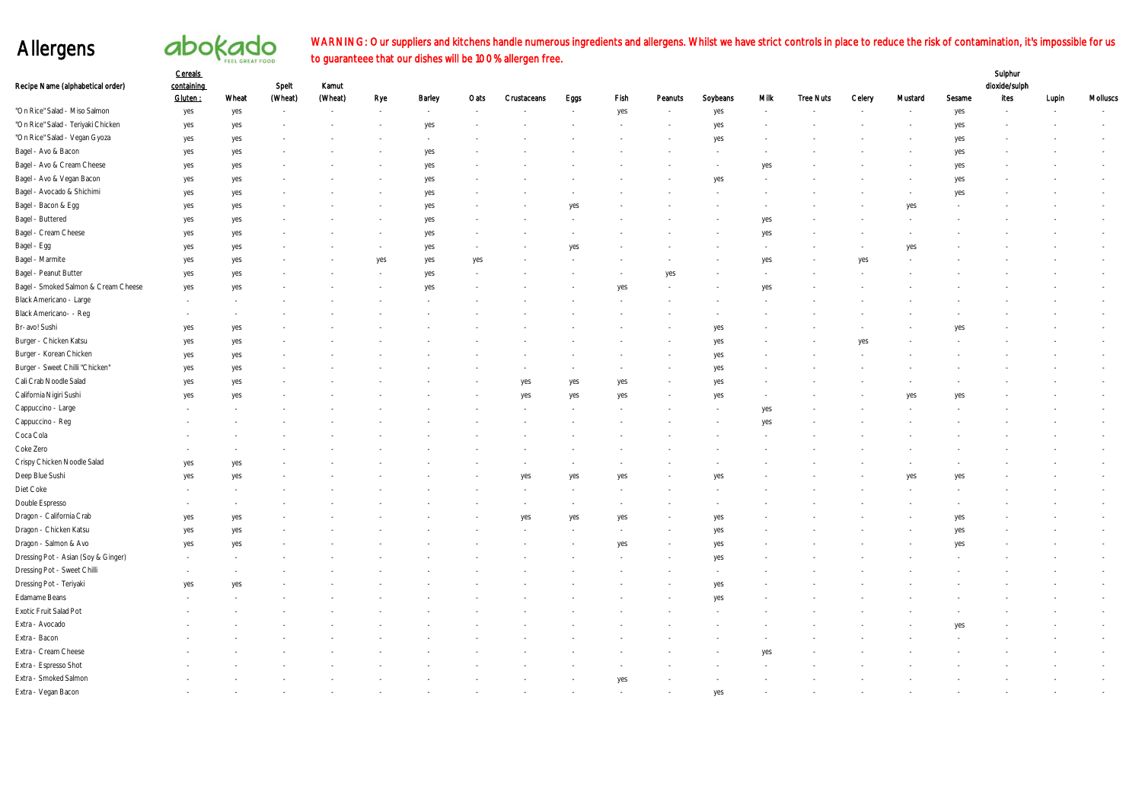## Allergens

# abokado

#### WARNING: Our suppliers and kitchens handle numerous ingredients and allergens. Whilst we have strict controls in place to reduce the risk of contamination, it's impossible for us to guaranteee that our dishes will be 100% allergen free.

|                                      | Cereals               |       |                  |                  |     |            |      |             |      |      |         |          |            |                  |        |         |        | Sulphur               |       |          |
|--------------------------------------|-----------------------|-------|------------------|------------------|-----|------------|------|-------------|------|------|---------|----------|------------|------------------|--------|---------|--------|-----------------------|-------|----------|
| Recipe Name (alphabetical order)     | containing<br>Gluten: | Wheat | Spelt<br>(Wheat) | Kamut<br>(Wheat) | Rye | Barley     | Oats | Crustaceans | Eggs | Fish | Peanuts | Soybeans | Mik        | <b>Tree Nuts</b> | Celery | Mustard | Sesame | dioxide/sulph<br>Ites | Lupin | Molluscs |
| "On Rice" Salad - Miso Salmon        | yes                   | yes   |                  |                  |     |            |      |             |      | yes  |         | yes      |            |                  |        |         | yes    |                       |       |          |
| "On Rice" Salad - Teriyaki Chicken   | yes                   | yes   |                  |                  |     | yes        |      |             |      |      |         | yes      |            |                  |        |         | yes    |                       |       |          |
| "On Rice" Salad - Vegan Gyoza        | yes                   | yes   |                  |                  |     |            |      |             |      |      |         | yes      |            |                  |        |         | yes    |                       |       |          |
| Bagel - Avo & Bacon                  | yes                   | yes   |                  |                  |     | yes        |      |             |      |      |         |          |            |                  |        |         | yes    |                       |       |          |
| Bagel - Avo & Cream Cheese           | yes                   | yes   |                  |                  |     | yes        |      |             |      |      |         |          | yes        |                  |        |         | yes    |                       |       |          |
| Bagel - Avo & Vegan Bacon            | yes                   | yes   |                  |                  |     | yes        |      |             |      |      |         | yes      |            |                  |        |         | yes    |                       |       |          |
| Bagel - Avocado & Shichimi           |                       |       |                  |                  |     |            |      |             |      |      |         |          |            |                  |        |         | yes    |                       |       |          |
| Bagel - Bacon & Egg                  | yes<br>yes            | yes   |                  |                  |     | yes<br>yes |      |             |      |      |         |          |            |                  |        | yes     |        |                       |       |          |
| Bagel - Buttered                     |                       | yes   |                  |                  |     |            |      |             |      |      |         |          |            |                  |        |         |        |                       |       |          |
| Bagel - Cream Cheese                 | yes                   | yes   |                  |                  |     | yes        |      |             |      |      |         |          | yes<br>yes |                  |        |         |        |                       |       |          |
| Bagel - Egg                          | yes                   | yes   |                  |                  |     | yes        |      |             |      |      |         |          |            |                  |        |         |        |                       |       |          |
| Bagel - Marmite                      | yes                   | yes   |                  |                  |     | yes        |      |             |      |      |         |          |            |                  | ves    | yes     |        |                       |       |          |
|                                      | yes                   | yes   |                  |                  | yes | yes        | yes  |             |      |      |         |          | yes        |                  |        |         |        |                       |       |          |
| Bagel - Peanut Butter                | yes                   | yes   |                  |                  |     | yes        |      |             |      |      | yes     |          |            |                  |        |         |        |                       |       |          |
| Bagel - Smoked Salmon & Cream Cheese | yes                   | yes   |                  |                  |     | yes        |      |             |      | yes  |         |          | yes        |                  |        |         |        |                       |       |          |
| Black Americano - Large              |                       |       |                  |                  |     |            |      |             |      |      |         |          |            |                  |        |         |        |                       |       |          |
| Black Americano- - Reg               |                       |       |                  |                  |     |            |      |             |      |      |         |          |            |                  |        |         |        |                       |       |          |
| Br-avo! Sushi                        | yes                   | yes   |                  |                  |     |            |      |             |      |      |         | yes      |            |                  |        |         |        |                       |       |          |
| Burger - Chicken Katsu               | yes                   | yes   |                  |                  |     |            |      |             |      |      |         | yes      |            |                  |        |         |        |                       |       |          |
| Burger - Korean Chicken              | yes                   | yes   |                  |                  |     |            |      |             |      |      |         | yes      |            |                  |        |         |        |                       |       |          |
| Burger - Sweet Chilli "Chicken"      | yes                   | yes   |                  |                  |     |            |      |             |      |      |         | yes      |            |                  |        |         |        |                       |       |          |
| Cali Crab Noodle Salad               | yes                   | yes   |                  |                  |     |            |      | yes         | yes  | yes  |         | yes      |            |                  |        |         |        |                       |       |          |
| California Nigiri Sushi              | yes                   | yes   |                  |                  |     |            |      | yes         | yes  | yes  |         | yes      |            |                  |        | yes     |        |                       |       |          |
| Cappuccino - Large                   |                       |       |                  |                  |     |            |      |             |      |      |         |          | yes        |                  |        |         |        |                       |       |          |
| Cappuccino - Reg                     |                       |       |                  |                  |     |            |      |             |      |      |         |          | yes        |                  |        |         |        |                       |       |          |
| Coca Cola                            |                       |       |                  |                  |     |            |      |             |      |      |         |          |            |                  |        |         |        |                       |       |          |
| Coke Zero                            |                       |       |                  |                  |     |            |      |             |      |      |         |          |            |                  |        |         |        |                       |       |          |
| Crispy Chicken Noodle Salad          | yes                   | yes   |                  |                  |     |            |      |             |      |      |         |          |            |                  |        |         |        |                       |       |          |
| Deep Blue Sushi                      | yes                   | yes   |                  |                  |     |            |      | yes         | ves  | ve:  |         |          |            |                  |        | ve.     |        |                       |       |          |
| Diet Coke                            |                       |       |                  |                  |     |            |      |             |      |      |         |          |            |                  |        |         |        |                       |       |          |
| Double Espresso                      |                       |       |                  |                  |     |            |      |             |      |      |         |          |            |                  |        |         |        |                       |       |          |
| Dragon - California Crab             | yes                   | yes   |                  |                  |     |            |      | yes         | yes  | yes  |         | yes      |            |                  |        |         | yes    |                       |       |          |
| Dragon - Chicken Katsu               | yes                   | yes   |                  |                  |     |            |      |             |      |      |         | yes      |            |                  |        |         | yes    |                       |       |          |
| Dragon - Salmon & Avo                | yes                   | yes   |                  |                  |     |            |      |             |      | yes  |         | yes      |            |                  |        |         | yes    |                       |       |          |
| Dressing Pot - Asian (Soy & Ginger)  |                       |       |                  |                  |     |            |      |             |      |      |         | yes      |            |                  |        |         |        |                       |       |          |
| Dressing Pot - Sweet Chilli          |                       |       |                  |                  |     |            |      |             |      |      |         |          |            |                  |        |         |        |                       |       |          |
| Dressing Pot - Teriyaki              | yes                   | yes   |                  |                  |     |            |      |             |      |      |         | yes      |            |                  |        |         |        |                       |       |          |
| Edamame Beans                        |                       |       |                  |                  |     |            |      |             |      |      |         | yes      |            |                  |        |         |        |                       |       |          |
| Exotic Fruit Salad Pot               |                       |       |                  |                  |     |            |      |             |      |      |         |          |            |                  |        |         |        |                       |       |          |
| Extra - Avocado                      |                       |       |                  |                  |     |            |      |             |      |      |         |          |            |                  |        |         |        |                       |       |          |
| Extra - Bacon                        |                       |       |                  |                  |     |            |      |             |      |      |         |          |            |                  |        |         |        |                       |       |          |
| Extra - Cream Cheese                 |                       |       |                  |                  |     |            |      |             |      |      |         |          | yes        |                  |        |         |        |                       |       |          |
| Extra - Espresso Shot                |                       |       |                  |                  |     |            |      |             |      |      |         |          |            |                  |        |         |        |                       |       |          |
| Extra - Smoked Salmon                |                       |       |                  |                  |     |            |      |             |      | yes  |         |          |            |                  |        |         |        |                       |       |          |
| Extra - Vegan Bacon                  |                       |       |                  |                  |     |            |      |             |      |      |         | yes      |            |                  |        |         |        |                       |       |          |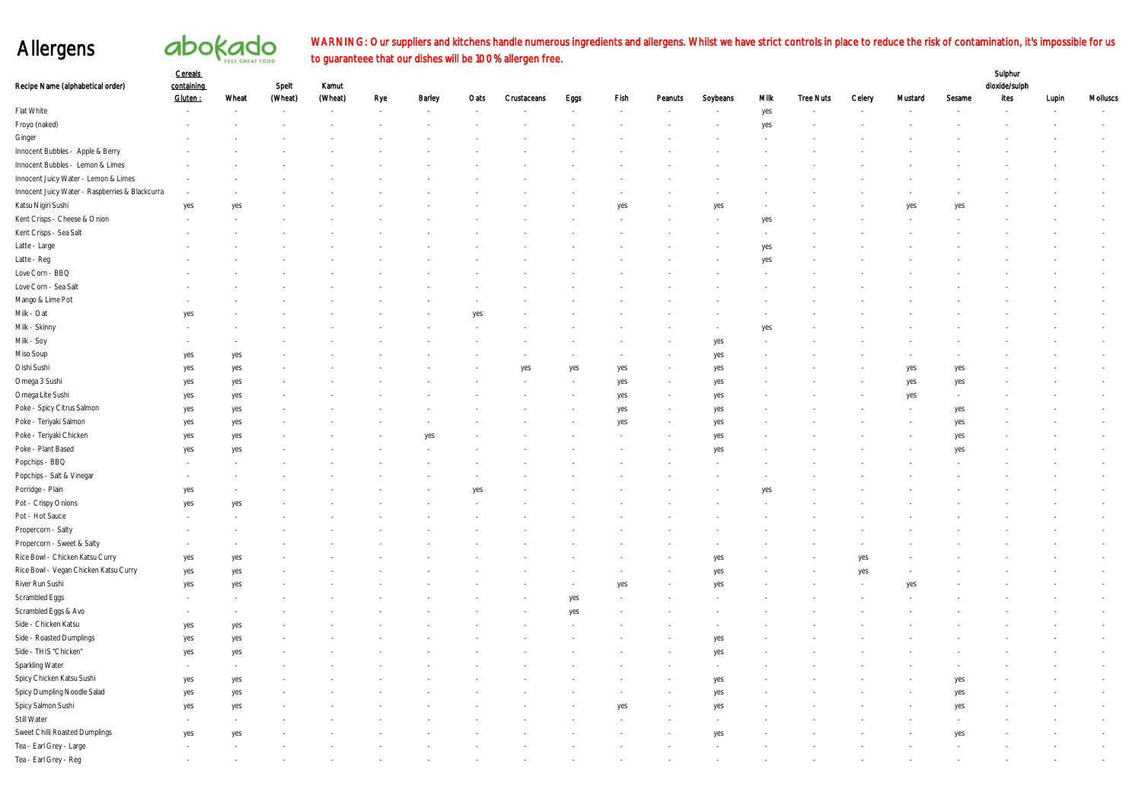## Allergens

# abokado

#### Sulphur WARNING: Our suppliers and kitchens handle numerous ingredients and allergens. Whilst we have strict controls in place to reduce the risk of contamination, it's impossible for us to guaranteee that our dishes will be 100% allergen free.

| Recipe Name (alphabetical order)                | <b>Cereals</b><br>containing<br>Gluten: | Wheat                    | Spelt<br>(Wheat) | Kamut<br>(Wheat)         |                                 | Barley | Oats | Crustaceans | Eggs | Fish | Peanuts | Soybeans | <b>Milk</b> | <b>Tree Nuts</b> | Celery | Mustard                  | Sesame | Sulphur<br>dioxide/sulph<br>ites |       | Molluscs |
|-------------------------------------------------|-----------------------------------------|--------------------------|------------------|--------------------------|---------------------------------|--------|------|-------------|------|------|---------|----------|-------------|------------------|--------|--------------------------|--------|----------------------------------|-------|----------|
| Flat White                                      |                                         | $\overline{\phantom{a}}$ | $\sim$           | $\overline{\phantom{a}}$ | Rye<br>$\overline{\phantom{a}}$ |        |      |             |      |      |         |          | yes         |                  |        | $\overline{\phantom{a}}$ |        |                                  | Lupin |          |
| Froyo (naked)                                   |                                         |                          |                  |                          |                                 |        |      |             |      |      |         |          | yes         |                  |        |                          |        |                                  |       |          |
| $\mbox{Ginger}$                                 |                                         |                          |                  |                          |                                 |        |      |             |      |      |         |          |             |                  |        |                          |        |                                  |       |          |
| Innocent Bubbles - Apple & Berry                |                                         |                          |                  |                          |                                 |        |      |             |      |      |         |          |             |                  |        |                          |        |                                  |       |          |
| Innocent Bubbles - Lemon & Limes                |                                         |                          |                  |                          |                                 |        |      |             |      |      |         |          |             |                  |        |                          |        |                                  |       |          |
| Innocent Juicy Water - Lemon & Limes            |                                         |                          |                  |                          |                                 |        |      |             |      |      |         |          |             |                  |        |                          |        |                                  |       |          |
| Innocent Juicy Water - Raspberries & Blackcurra |                                         |                          |                  |                          |                                 |        |      |             |      |      |         |          |             |                  |        |                          |        |                                  |       |          |
| Katsu Nigiri Sushi                              | yes                                     | yes                      |                  |                          |                                 |        |      |             |      | yes  |         | yes      |             |                  |        | yes                      | yes    |                                  |       |          |
| Kent Crisps - Cheese & Onion                    |                                         |                          |                  |                          |                                 |        |      |             |      |      |         |          | yes         |                  |        |                          |        |                                  |       |          |
| Kent Crisps - Sea Salt                          |                                         |                          |                  |                          |                                 |        |      |             |      |      |         |          |             |                  |        |                          |        |                                  |       |          |
| Latte - Large                                   |                                         |                          |                  |                          |                                 |        |      |             |      |      |         |          | yes         |                  |        |                          |        |                                  |       |          |
| Latte - Reg                                     |                                         |                          |                  |                          |                                 |        |      |             |      |      |         |          | yes         |                  |        |                          |        |                                  |       |          |
| Love Corn - BBQ                                 |                                         |                          |                  |                          |                                 |        |      |             |      |      |         |          |             |                  |        |                          |        |                                  |       |          |
| Love Corn - Sea Salt                            |                                         |                          |                  |                          |                                 |        |      |             |      |      |         |          |             |                  |        |                          |        |                                  |       |          |
| Mango & Lime Pot                                |                                         |                          |                  |                          |                                 |        |      |             |      |      |         |          |             |                  |        |                          |        |                                  |       |          |
| $\mathsf{Milk}\xspace$ - $\mathsf{Cat}\xspace$  | yes                                     |                          |                  |                          |                                 |        | yes  |             |      |      |         |          |             |                  |        |                          |        |                                  |       |          |
| Milk - Skinny                                   |                                         |                          |                  |                          |                                 |        |      |             |      |      |         |          | yes         |                  |        |                          |        |                                  |       |          |
| Milk - Soy                                      |                                         |                          |                  |                          |                                 |        |      |             |      |      |         | yes      |             |                  |        |                          |        |                                  |       |          |
| Miso Soup                                       | yes                                     | yes                      |                  |                          |                                 |        |      |             |      |      |         | yes      |             |                  |        |                          |        |                                  |       |          |
| Oishi Sushi                                     | yes                                     | yes                      |                  |                          |                                 |        |      | yes         | yes  | yes  |         | yes      |             |                  |        | yes                      | yes    |                                  |       |          |
| Omega 3 Sushi                                   | yes                                     | yes                      |                  |                          |                                 |        |      |             |      | yes  |         | yes      |             |                  |        | yes                      | yes    |                                  |       |          |
| Omega Lite Sushi                                | yes                                     | yes                      |                  |                          |                                 |        |      |             |      | yes  |         | yes      |             |                  |        | yes                      |        |                                  |       |          |
| Poke - Spicy Citrus Salmon                      | yes                                     | yes                      |                  |                          |                                 |        |      |             |      | yes  |         | yes      |             |                  |        |                          | yes    |                                  |       |          |
| Poke - Teriyaki Salmon                          | yes                                     | yes                      |                  |                          |                                 |        |      |             |      | yes  |         | yes      |             |                  |        |                          | yes    |                                  |       |          |
| Poke - Teriyaki Chicken                         | yes                                     | yes                      |                  |                          |                                 | yes    |      |             |      |      |         | yes      |             |                  |        |                          | yes    |                                  |       |          |
| Poke - Plant Based                              | yes                                     | yes                      |                  |                          |                                 |        |      |             |      |      |         | yes      |             |                  |        |                          | yes    |                                  |       |          |
| Popchips - BBQ                                  |                                         |                          |                  |                          |                                 |        |      |             |      |      |         |          |             |                  |        |                          |        |                                  |       |          |
| Popchips - Salt & Vinegar                       |                                         |                          |                  |                          |                                 |        |      |             |      |      |         |          |             |                  |        |                          |        |                                  |       |          |
| Porridge - Plain                                | yes                                     |                          |                  |                          |                                 |        | yes  |             |      |      |         |          | yes         |                  |        |                          |        |                                  |       |          |
| Pot - Crispy Onions                             | yes                                     | yes                      |                  |                          |                                 |        |      |             |      |      |         |          |             |                  |        |                          |        |                                  |       |          |
| Pot - Hot Sauce                                 |                                         |                          |                  |                          |                                 |        |      |             |      |      |         |          |             |                  |        |                          |        |                                  |       |          |
| Propercorn - Salty                              |                                         |                          |                  |                          |                                 |        |      |             |      |      |         |          |             |                  |        |                          |        |                                  |       |          |
| Propercorn - Sweet & Salty                      |                                         |                          |                  |                          |                                 |        |      |             |      |      |         |          |             |                  |        |                          |        |                                  |       |          |
| Rice Bowl - Chicken Katsu Curry                 | yes                                     | yes                      |                  |                          |                                 |        |      |             |      |      |         | yes      |             |                  | yes    |                          |        |                                  |       |          |
| Rice Bowl - Vegan Chicken Katsu Curry           | yes                                     | yes                      |                  |                          |                                 |        |      |             |      |      |         | yes      |             |                  | yes    |                          |        |                                  |       |          |
| River Run Sushi                                 | yes                                     | yes                      |                  |                          |                                 |        |      |             |      | yes  |         | yes      |             |                  |        | yes                      |        |                                  |       |          |
| Scrambled Eggs                                  |                                         |                          |                  |                          |                                 |        |      |             | yes  |      |         |          |             |                  |        |                          |        |                                  |       |          |
| Scrambled Eggs & Avo                            |                                         |                          |                  |                          |                                 |        |      |             | yes  |      |         |          |             |                  |        |                          |        |                                  |       |          |
| Side - Chicken Katsu                            | yes                                     | yes                      |                  |                          |                                 |        |      |             |      |      |         |          |             |                  |        |                          |        |                                  |       |          |
| Side - Roasted Dumplings                        | yes                                     | yes                      |                  |                          |                                 |        |      |             |      |      |         | yes      |             |                  |        |                          |        |                                  |       |          |
| Side - THIS "Chicken"                           | yes                                     | yes                      |                  |                          |                                 |        |      |             |      |      |         | yes      |             |                  |        |                          |        |                                  |       |          |
| Sparkling Water                                 |                                         |                          |                  |                          |                                 |        |      |             |      |      |         |          |             |                  |        |                          |        |                                  |       |          |
| Spicy Chicken Katsu Sushi                       | yes                                     | yes                      |                  |                          |                                 |        |      |             |      |      |         | yes      |             |                  |        |                          | yes    |                                  |       |          |
| Spicy Dumpling Noodle Salad                     | yes                                     | yes                      |                  |                          |                                 |        |      |             |      |      |         | yes      |             |                  |        |                          | yes    |                                  |       |          |
| Spicy Salmon Sushi                              | yes                                     | yes                      |                  |                          |                                 |        |      |             |      | yes  |         | yes      |             |                  |        |                          | yes    |                                  |       |          |
| Still Water                                     |                                         |                          |                  |                          |                                 |        |      |             |      |      |         |          |             |                  |        |                          |        |                                  |       |          |
| Sweet Chilli Roasted Dumplings                  | yes                                     | yes                      |                  |                          |                                 |        |      |             |      |      |         | yes      |             |                  |        |                          | yes    |                                  |       |          |
| Tea - Earl Grey - Large                         |                                         |                          |                  |                          |                                 |        |      |             |      |      |         |          |             |                  |        |                          |        |                                  |       |          |
| Tea - Earl Grey - Reg                           |                                         |                          |                  |                          |                                 |        |      |             |      |      |         |          |             |                  |        |                          |        |                                  |       |          |